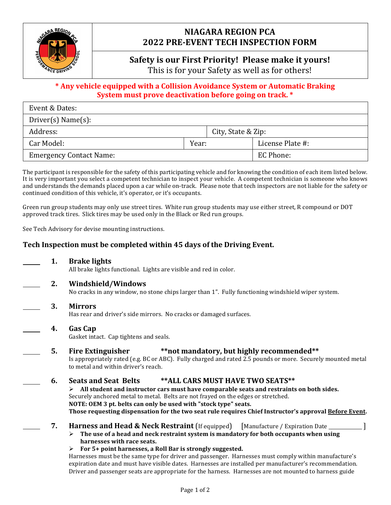

# **NIAGARA REGION PCA 2022 PRE-EVENT TECH INSPECTION FORM**

# **Safety is our First Priority! Please make it yours!**

This is for your Safety as well as for others!

# \* Any vehicle equipped with a Collision Avoidance System or Automatic Braking **System must prove deactivation before going on track.** \*

| Event & Dates:                 |       |                    |                  |  |
|--------------------------------|-------|--------------------|------------------|--|
| Direct(s) Name(s):             |       |                    |                  |  |
| Address:                       |       | City, State & Zip: |                  |  |
| Car Model:                     | Year: |                    | License Plate #: |  |
| <b>Emergency Contact Name:</b> |       |                    | EC Phone:        |  |

The participant is responsible for the safety of this participating vehicle and for knowing the condition of each item listed below. It is very important you select a competent technician to inspect your vehicle. A competent technician is someone who knows and understands the demands placed upon a car while on-track. Please note that tech inspectors are not liable for the safety or continued condition of this vehicle, it's operator, or it's occupants.

Green run group students may only use street tires. White run group students may use either street, R compound or DOT approved track tires. Slick tires may be used only in the Black or Red run groups.

See Tech Advisory for devise mounting instructions.

# Tech Inspection must be completed within 45 days of the Driving Event.

- **1. Brake lights** All brake lights functional. Lights are visible and red in color.
- 

**2. Windshield/Windows** No cracks in any window, no stone chips larger than 1". Fully functioning windshield wiper system.

**3. Mirrors**

Has rear and driver's side mirrors. No cracks or damaged surfaces.

**4. Gas Cap**

Gasket intact. Cap tightens and seals.

**5.** Fire Extinguisher **\*\* \*\*not** mandatory, but highly recommended\*\*

Is appropriately rated (e.g. BC or ABC). Fully charged and rated 2.5 pounds or more. Securely mounted metal to metal and within driver's reach.

## **6.** Seats and Seat Belts \*\*ALL CARS MUST HAVE TWO SEATS\*\*

 $\triangleright$  All student and instructor cars must have comparable seats and restraints on both sides. Securely anchored metal to metal. Belts are not frayed on the edges or stretched. **NOTE: OEM 3 pt. belts can only be used with "stock type" seats. Those** requesting dispensation for the two seat rule requires Chief Instructor's approval Before Event.

- **7. Harness and Head & Neck Restraint** (If equipped) [Manufacture / Expiration Date \_\_\_\_\_\_\_\_\_\_]
	- $\triangleright$  The use of a head and neck restraint system is mandatory for both occupants when using **harnesses** with race seats.
	- $\triangleright$  For 5+ point harnesses, a Roll Bar is strongly suggested.

Harnesses must be the same type for driver and passenger. Harnesses must comply within manufacture's expiration date and must have visible dates. Harnesses are installed per manufacturer's recommendation. Driver and passenger seats are appropriate for the harness. Harnesses are not mounted to harness guide